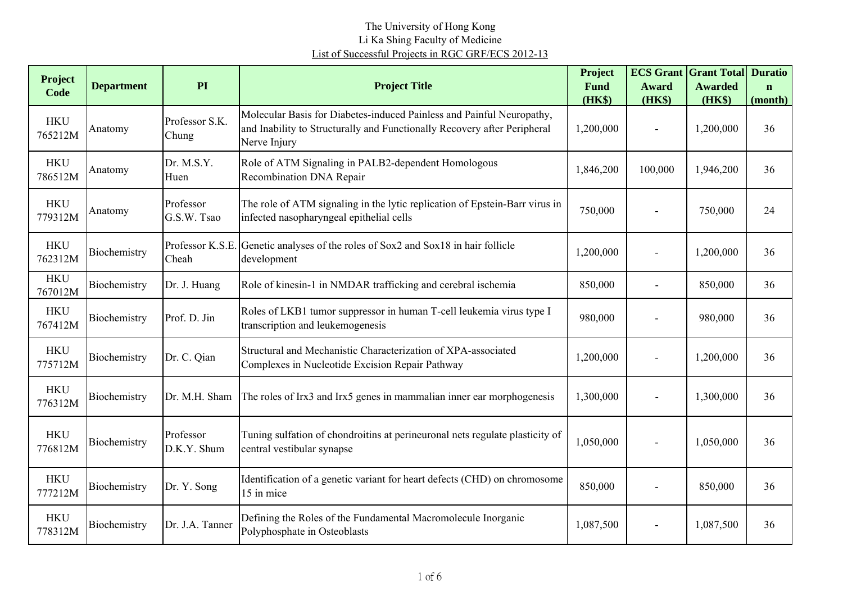| Project               | <b>Department</b> | PI                        | <b>Project Title</b>                                                                                                                                              | Project<br><b>Fund</b> | <b>ECS Grant</b><br><b>Award</b> | <b>Grant Total</b><br><b>Awarded</b> | <b>Duratio</b><br>$\mathbf{n}$ |
|-----------------------|-------------------|---------------------------|-------------------------------------------------------------------------------------------------------------------------------------------------------------------|------------------------|----------------------------------|--------------------------------------|--------------------------------|
| Code                  |                   |                           |                                                                                                                                                                   | (HK\$)                 | (HK\$)                           | (HK\$)                               | (month)                        |
| <b>HKU</b><br>765212M | Anatomy           | Professor S.K.<br>Chung   | Molecular Basis for Diabetes-induced Painless and Painful Neuropathy,<br>and Inability to Structurally and Functionally Recovery after Peripheral<br>Nerve Injury | 1,200,000              |                                  | 1,200,000                            | 36                             |
| <b>HKU</b><br>786512M | Anatomy           | Dr. M.S.Y.<br>Huen        | Role of ATM Signaling in PALB2-dependent Homologous<br>Recombination DNA Repair                                                                                   | 1,846,200              | 100,000                          | 1,946,200                            | 36                             |
| <b>HKU</b><br>779312M | Anatomy           | Professor<br>G.S.W. Tsao  | The role of ATM signaling in the lytic replication of Epstein-Barr virus in<br>infected nasopharyngeal epithelial cells                                           | 750,000                |                                  | 750,000                              | 24                             |
| <b>HKU</b><br>762312M | Biochemistry      | Professor K.S.E.<br>Cheah | Genetic analyses of the roles of Sox2 and Sox18 in hair follicle<br>development                                                                                   | 1,200,000              |                                  | 1,200,000                            | 36                             |
| <b>HKU</b><br>767012M | Biochemistry      | Dr. J. Huang              | Role of kinesin-1 in NMDAR trafficking and cerebral ischemia                                                                                                      | 850,000                |                                  | 850,000                              | 36                             |
| <b>HKU</b><br>767412M | Biochemistry      | Prof. D. Jin              | Roles of LKB1 tumor suppressor in human T-cell leukemia virus type I<br>transcription and leukemogenesis                                                          | 980,000                |                                  | 980,000                              | 36                             |
| <b>HKU</b><br>775712M | Biochemistry      | Dr. C. Qian               | Structural and Mechanistic Characterization of XPA-associated<br>Complexes in Nucleotide Excision Repair Pathway                                                  | 1,200,000              |                                  | 1,200,000                            | 36                             |
| <b>HKU</b><br>776312M | Biochemistry      | Dr. M.H. Sham             | The roles of Irx3 and Irx5 genes in mammalian inner ear morphogenesis                                                                                             | 1,300,000              |                                  | 1,300,000                            | 36                             |
| <b>HKU</b><br>776812M | Biochemistry      | Professor<br>D.K.Y. Shum  | Tuning sulfation of chondroitins at perineuronal nets regulate plasticity of<br>central vestibular synapse                                                        | 1,050,000              |                                  | 1,050,000                            | 36                             |
| <b>HKU</b><br>777212M | Biochemistry      | Dr. Y. Song               | Identification of a genetic variant for heart defects (CHD) on chromosome<br>15 in mice                                                                           | 850,000                |                                  | 850,000                              | 36                             |
| <b>HKU</b><br>778312M | Biochemistry      | Dr. J.A. Tanner           | Defining the Roles of the Fundamental Macromolecule Inorganic<br>Polyphosphate in Osteoblasts                                                                     | 1,087,500              |                                  | 1,087,500                            | 36                             |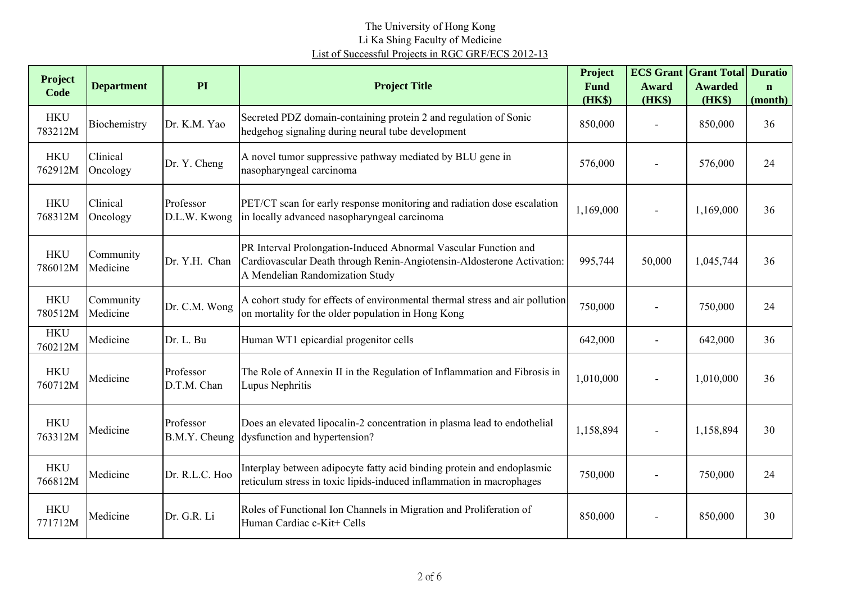| <b>Project</b><br>Code | <b>Department</b>     | PI                         | <b>Project Title</b>                                                                                                                                                         | Project<br><b>Fund</b> | <b>Award</b>   | <b>ECS Grant Grant Total Duratio</b><br><b>Awarded</b> | $\mathbf n$ |
|------------------------|-----------------------|----------------------------|------------------------------------------------------------------------------------------------------------------------------------------------------------------------------|------------------------|----------------|--------------------------------------------------------|-------------|
|                        |                       |                            |                                                                                                                                                                              | (HK\$)                 | (HK\$)         | $(HK\$                                                 | (month)     |
| <b>HKU</b><br>783212M  | Biochemistry          | Dr. K.M. Yao               | Secreted PDZ domain-containing protein 2 and regulation of Sonic<br>hedgehog signaling during neural tube development                                                        | 850,000                | $\blacksquare$ | 850,000                                                | 36          |
| <b>HKU</b><br>762912M  | Clinical<br>Oncology  | Dr. Y. Cheng               | A novel tumor suppressive pathway mediated by BLU gene in<br>nasopharyngeal carcinoma                                                                                        | 576,000                |                | 576,000                                                | 24          |
| <b>HKU</b><br>768312M  | Clinical<br>Oncology  | Professor<br>D.L.W. Kwong  | PET/CT scan for early response monitoring and radiation dose escalation<br>in locally advanced nasopharyngeal carcinoma                                                      | 1,169,000              |                | 1,169,000                                              | 36          |
| <b>HKU</b><br>786012M  | Community<br>Medicine | Dr. Y.H. Chan              | PR Interval Prolongation-Induced Abnormal Vascular Function and<br>Cardiovascular Death through Renin-Angiotensin-Aldosterone Activation:<br>A Mendelian Randomization Study | 995,744                | 50,000         | 1,045,744                                              | 36          |
| <b>HKU</b><br>780512M  | Community<br>Medicine | Dr. C.M. Wong              | A cohort study for effects of environmental thermal stress and air pollution<br>on mortality for the older population in Hong Kong                                           | 750,000                |                | 750,000                                                | 24          |
| <b>HKU</b><br>760212M  | Medicine              | Dr. L. Bu                  | Human WT1 epicardial progenitor cells                                                                                                                                        | 642,000                |                | 642,000                                                | 36          |
| <b>HKU</b><br>760712M  | Medicine              | Professor<br>D.T.M. Chan   | The Role of Annexin II in the Regulation of Inflammation and Fibrosis in<br>Lupus Nephritis                                                                                  | 1,010,000              |                | 1,010,000                                              | 36          |
| <b>HKU</b><br>763312M  | Medicine              | Professor<br>B.M.Y. Cheung | Does an elevated lipocalin-2 concentration in plasma lead to endothelial<br>dysfunction and hypertension?                                                                    | 1,158,894              |                | 1,158,894                                              | 30          |
| <b>HKU</b><br>766812M  | Medicine              | Dr. R.L.C. Hoo             | Interplay between adipocyte fatty acid binding protein and endoplasmic<br>reticulum stress in toxic lipids-induced inflammation in macrophages                               | 750,000                |                | 750,000                                                | 24          |
| <b>HKU</b><br>771712M  | Medicine              | Dr. G.R. Li                | Roles of Functional Ion Channels in Migration and Proliferation of<br>Human Cardiac c-Kit+ Cells                                                                             | 850,000                | $\blacksquare$ | 850,000                                                | 30          |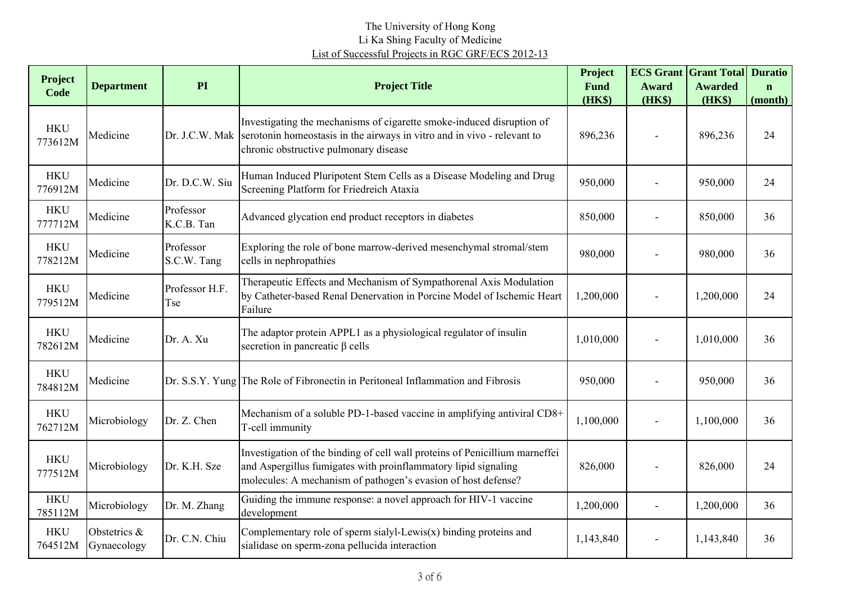| <b>Project</b>        | <b>Department</b>           | PI                       | <b>Project Title</b>                                                                                                                                                                                           | Project<br><b>Fund</b> | <b>Award</b>   | <b>ECS Grant Grant Total</b><br><b>Awarded</b> | <b>Duratio</b><br>$\mathbf{n}$ |
|-----------------------|-----------------------------|--------------------------|----------------------------------------------------------------------------------------------------------------------------------------------------------------------------------------------------------------|------------------------|----------------|------------------------------------------------|--------------------------------|
| Code                  |                             |                          |                                                                                                                                                                                                                | (HK\$)                 | (HK\$)         | (HK\$)                                         | (month)                        |
| <b>HKU</b><br>773612M | Medicine                    |                          | Investigating the mechanisms of cigarette smoke-induced disruption of<br>Dr. J.C.W. Mak serotonin homeostasis in the airways in vitro and in vivo - relevant to<br>chronic obstructive pulmonary disease       | 896,236                |                | 896,236                                        | 24                             |
| <b>HKU</b><br>776912M | Medicine                    | Dr. D.C.W. Siu           | Human Induced Pluripotent Stem Cells as a Disease Modeling and Drug<br>Screening Platform for Friedreich Ataxia                                                                                                | 950,000                |                | 950,000                                        | 24                             |
| <b>HKU</b><br>777712M | Medicine                    | Professor<br>K.C.B. Tan  | Advanced glycation end product receptors in diabetes                                                                                                                                                           | 850,000                |                | 850,000                                        | 36                             |
| <b>HKU</b><br>778212M | Medicine                    | Professor<br>S.C.W. Tang | Exploring the role of bone marrow-derived mesenchymal stromal/stem<br>cells in nephropathies                                                                                                                   | 980,000                |                | 980,000                                        | 36                             |
| <b>HKU</b><br>779512M | Medicine                    | Professor H.F.<br>Tse    | Therapeutic Effects and Mechanism of Sympathorenal Axis Modulation<br>by Catheter-based Renal Denervation in Porcine Model of Ischemic Heart<br>Failure                                                        | 1,200,000              |                | 1,200,000                                      | 24                             |
| <b>HKU</b><br>782612M | Medicine                    | Dr. A. Xu                | The adaptor protein APPL1 as a physiological regulator of insulin<br>secretion in pancreatic $\beta$ cells                                                                                                     | 1,010,000              |                | 1,010,000                                      | 36                             |
| <b>HKU</b><br>784812M | Medicine                    |                          | Dr. S.S.Y. Yung The Role of Fibronectin in Peritoneal Inflammation and Fibrosis                                                                                                                                | 950,000                |                | 950,000                                        | 36                             |
| <b>HKU</b><br>762712M | Microbiology                | Dr. Z. Chen              | Mechanism of a soluble PD-1-based vaccine in amplifying antiviral CD8+<br>T-cell immunity                                                                                                                      | 1,100,000              | $\blacksquare$ | 1,100,000                                      | 36                             |
| <b>HKU</b><br>777512M | Microbiology                | Dr. K.H. Sze             | Investigation of the binding of cell wall proteins of Penicillium marneffei<br>and Aspergillus fumigates with proinflammatory lipid signaling<br>molecules: A mechanism of pathogen's evasion of host defense? | 826,000                |                | 826,000                                        | 24                             |
| <b>HKU</b><br>785112M | Microbiology                | Dr. M. Zhang             | Guiding the immune response: a novel approach for HIV-1 vaccine<br>development                                                                                                                                 | 1,200,000              |                | 1,200,000                                      | 36                             |
| <b>HKU</b><br>764512M | Obstetrics &<br>Gynaecology | Dr. C.N. Chiu            | Complementary role of sperm sialyl-Lewis $(x)$ binding proteins and<br>sialidase on sperm-zona pellucida interaction                                                                                           | 1,143,840              | $\blacksquare$ | 1,143,840                                      | 36                             |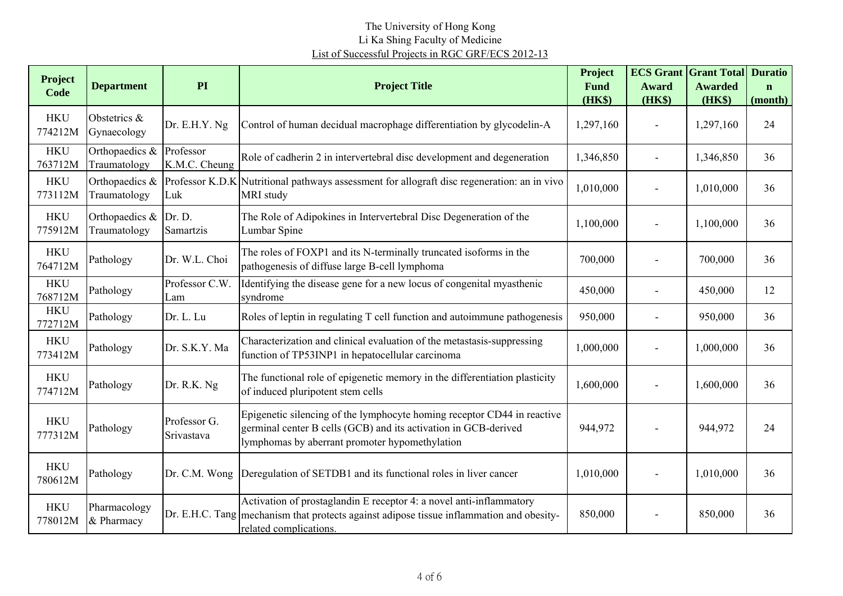| Project<br>Code       | <b>Department</b>              | PI                         | <b>Project Title</b>                                                                                                                                                                         | Project<br><b>Fund</b> | <b>ECS Grant</b><br><b>Award</b> | <b>Grant Total</b><br><b>Awarded</b> | <b>Duratio</b><br>$\mathbf n$ |
|-----------------------|--------------------------------|----------------------------|----------------------------------------------------------------------------------------------------------------------------------------------------------------------------------------------|------------------------|----------------------------------|--------------------------------------|-------------------------------|
|                       |                                |                            |                                                                                                                                                                                              | (HK\$)                 | (HK\$)                           | (HK\$)                               | (month)                       |
| <b>HKU</b><br>774212M | Obstetrics &<br>Gynaecology    | Dr. E.H.Y. Ng              | Control of human decidual macrophage differentiation by glycodelin-A                                                                                                                         | 1,297,160              |                                  | 1,297,160                            | 24                            |
| <b>HKU</b><br>763712M | Orthopaedics &<br>Traumatology | Professor<br>K.M.C. Cheung | Role of cadherin 2 in intervertebral disc development and degeneration                                                                                                                       | 1,346,850              |                                  | 1,346,850                            | 36                            |
| <b>HKU</b><br>773112M | Orthopaedics &<br>Traumatology | Professor K.D.K<br>Luk     | Nutritional pathways assessment for allograft disc regeneration: an in vivo<br>MRI study                                                                                                     | 1,010,000              |                                  | 1,010,000                            | 36                            |
| <b>HKU</b><br>775912M | Orthopaedics &<br>Traumatology | Dr. D.<br>Samartzis        | The Role of Adipokines in Intervertebral Disc Degeneration of the<br>Lumbar Spine                                                                                                            | 1,100,000              |                                  | 1,100,000                            | 36                            |
| <b>HKU</b><br>764712M | Pathology                      | Dr. W.L. Choi              | The roles of FOXP1 and its N-terminally truncated isoforms in the<br>pathogenesis of diffuse large B-cell lymphoma                                                                           | 700,000                |                                  | 700,000                              | 36                            |
| <b>HKU</b><br>768712M | Pathology                      | Professor C.W.<br>Lam      | Identifying the disease gene for a new locus of congenital myasthenic<br>syndrome                                                                                                            | 450,000                |                                  | 450,000                              | 12                            |
| <b>HKU</b><br>772712M | Pathology                      | Dr. L. Lu                  | Roles of leptin in regulating T cell function and autoimmune pathogenesis                                                                                                                    | 950,000                |                                  | 950,000                              | 36                            |
| <b>HKU</b><br>773412M | Pathology                      | Dr. S.K.Y. Ma              | Characterization and clinical evaluation of the metastasis-suppressing<br>function of TP53INP1 in hepatocellular carcinoma                                                                   | 1,000,000              |                                  | 1,000,000                            | 36                            |
| <b>HKU</b><br>774712M | Pathology                      | Dr. R.K. Ng                | The functional role of epigenetic memory in the differentiation plasticity<br>of induced pluripotent stem cells                                                                              | 1,600,000              |                                  | 1,600,000                            | 36                            |
| <b>HKU</b><br>777312M | Pathology                      | Professor G.<br>Srivastava | Epigenetic silencing of the lymphocyte homing receptor CD44 in reactive<br>germinal center B cells (GCB) and its activation in GCB-derived<br>lymphomas by aberrant promoter hypomethylation | 944,972                |                                  | 944,972                              | 24                            |
| <b>HKU</b><br>780612M | Pathology                      | Dr. C.M. Wong              | Deregulation of SETDB1 and its functional roles in liver cancer                                                                                                                              | 1,010,000              |                                  | 1,010,000                            | 36                            |
| <b>HKU</b><br>778012M | Pharmacology<br>& Pharmacy     |                            | Activation of prostaglandin E receptor 4: a novel anti-inflammatory<br>Dr. E.H.C. Tang mechanism that protects against adipose tissue inflammation and obesity-<br>related complications.    | 850,000                |                                  | 850,000                              | 36                            |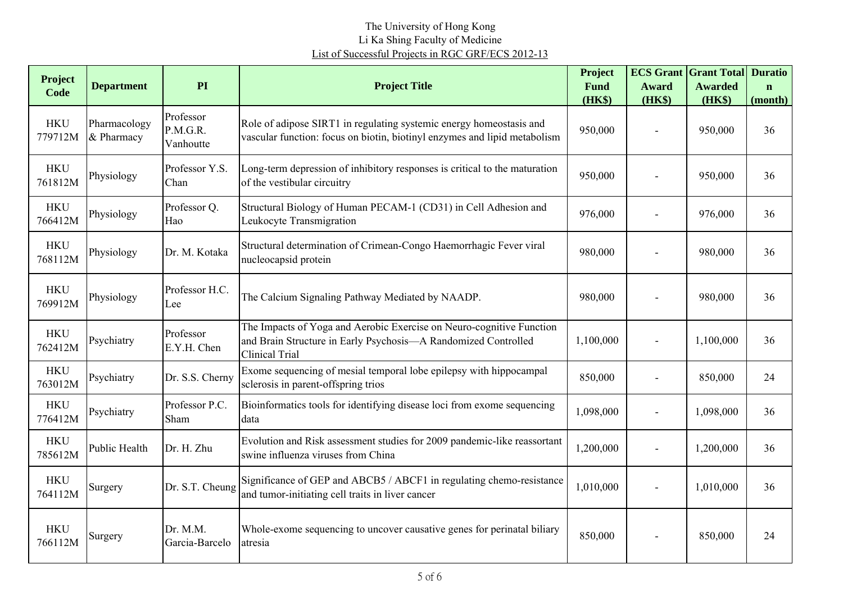| <b>Project</b><br>Code | <b>Department</b>          | PI                                 | <b>Project Title</b>                                                                                                                                     | Project<br>Fund<br>(HK\$) | <b>Award</b><br>(HK\$) | <b>ECS Grant Grant Total</b><br><b>Awarded</b><br>(HK\$) | <b>Duratio</b><br>$\mathbf n$<br>(month) |
|------------------------|----------------------------|------------------------------------|----------------------------------------------------------------------------------------------------------------------------------------------------------|---------------------------|------------------------|----------------------------------------------------------|------------------------------------------|
| <b>HKU</b><br>779712M  | Pharmacology<br>& Pharmacy | Professor<br>P.M.G.R.<br>Vanhoutte | Role of adipose SIRT1 in regulating systemic energy homeostasis and<br>vascular function: focus on biotin, biotinyl enzymes and lipid metabolism         | 950,000                   |                        | 950,000                                                  | 36                                       |
| <b>HKU</b><br>761812M  | Physiology                 | Professor Y.S.<br>Chan             | Long-term depression of inhibitory responses is critical to the maturation<br>of the vestibular circuitry                                                | 950,000                   |                        | 950,000                                                  | 36                                       |
| <b>HKU</b><br>766412M  | Physiology                 | Professor Q.<br>Hao                | Structural Biology of Human PECAM-1 (CD31) in Cell Adhesion and<br>Leukocyte Transmigration                                                              | 976,000                   |                        | 976,000                                                  | 36                                       |
| <b>HKU</b><br>768112M  | Physiology                 | Dr. M. Kotaka                      | Structural determination of Crimean-Congo Haemorrhagic Fever viral<br>nucleocapsid protein                                                               | 980,000                   |                        | 980,000                                                  | 36                                       |
| <b>HKU</b><br>769912M  | Physiology                 | Professor H.C.<br>Lee              | The Calcium Signaling Pathway Mediated by NAADP.                                                                                                         | 980,000                   |                        | 980,000                                                  | 36                                       |
| <b>HKU</b><br>762412M  | Psychiatry                 | Professor<br>E.Y.H. Chen           | The Impacts of Yoga and Aerobic Exercise on Neuro-cognitive Function<br>and Brain Structure in Early Psychosis-A Randomized Controlled<br>Clinical Trial | 1,100,000                 |                        | 1,100,000                                                | 36                                       |
| <b>HKU</b><br>763012M  | Psychiatry                 | Dr. S.S. Cherny                    | Exome sequencing of mesial temporal lobe epilepsy with hippocampal<br>sclerosis in parent-offspring trios                                                | 850,000                   |                        | 850,000                                                  | 24                                       |
| <b>HKU</b><br>776412M  | Psychiatry                 | Professor P.C.<br>Sham             | Bioinformatics tools for identifying disease loci from exome sequencing<br>data                                                                          | 1,098,000                 | $\blacksquare$         | 1,098,000                                                | 36                                       |
| <b>HKU</b><br>785612M  | <b>Public Health</b>       | Dr. H. Zhu                         | Evolution and Risk assessment studies for 2009 pandemic-like reassortant<br>swine influenza viruses from China                                           | 1,200,000                 |                        | 1,200,000                                                | 36                                       |
| <b>HKU</b><br>764112M  | Surgery                    | Dr. S.T. Cheung                    | Significance of GEP and ABCB5 / ABCF1 in regulating chemo-resistance<br>and tumor-initiating cell traits in liver cancer                                 | 1,010,000                 |                        | 1,010,000                                                | 36                                       |
| <b>HKU</b><br>766112M  | Surgery                    | Dr. M.M.<br>Garcia-Barcelo         | Whole-exome sequencing to uncover causative genes for perinatal biliary<br>atresia                                                                       | 850,000                   |                        | 850,000                                                  | 24                                       |